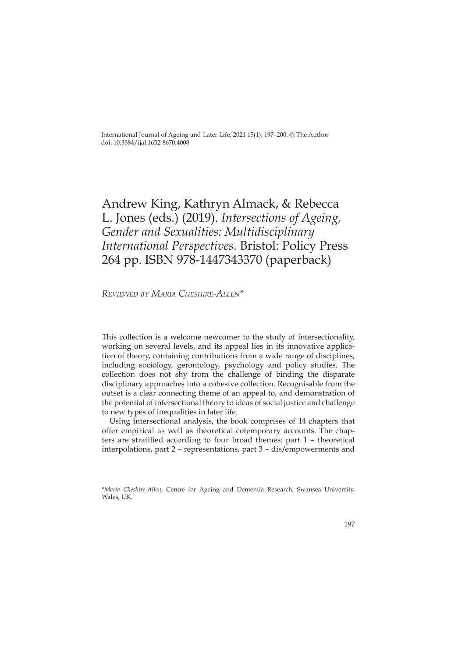International Journal of Ageing and Later Life, 2021 15(1): 197-200. © The Author doi: 10.3384/ijal.1652-8670.4008

## Andrew King, Kathryn Almack, & Rebecca L. Jones (eds.) (2019). *Intersections of Ageing, Gender and Sexualities: Multidisciplinary International Perspectives*. Bristol: Policy Press 264 pp. ISBN 978-1447343370 (paperback)

*Reviewed by Maria Cheshire-Allen\**

This collection is a welcome newcomer to the study of intersectionality, working on several levels, and its appeal lies in its innovative application of theory, containing contributions from a wide range of disciplines, including sociology, gerontology, psychology and policy studies. The collection does not shy from the challenge of binding the disparate disciplinary approaches into a cohesive collection. Recognisable from the outset is a clear connecting theme of an appeal to, and demonstration of the potential of intersectional theory to ideas of social justice and challenge to new types of inequalities in later life.

Using intersectional analysis, the book comprises of 14 chapters that offer empirical as well as theoretical cotemporary accounts. The chapters are stratified according to four broad themes: part 1 – theoretical interpolations, part 2 – representations, part 3 – dis/empowerments and

*<sup>\*</sup>Maria Cheshire-Allen*, Centre for Ageing and Dementia Research, Swansea University, Wales, UK.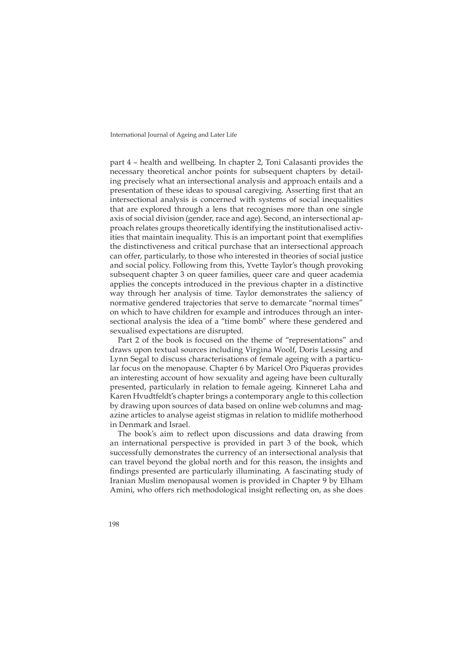International Journal of Ageing and Later Life

part 4 – health and wellbeing. In chapter 2, Toni Calasanti provides the necessary theoretical anchor points for subsequent chapters by detailing precisely what an intersectional analysis and approach entails and a presentation of these ideas to spousal caregiving. Asserting first that an intersectional analysis is concerned with systems of social inequalities that are explored through a lens that recognises more than one single axis of social division (gender, race and age). Second, an intersectional approach relates groups theoretically identifying the institutionalised activities that maintain inequality. This is an important point that exemplifies the distinctiveness and critical purchase that an intersectional approach can offer, particularly, to those who interested in theories of social justice and social policy. Following from this, Yvette Taylor's though provoking subsequent chapter 3 on queer families, queer care and queer academia applies the concepts introduced in the previous chapter in a distinctive way through her analysis of time. Taylor demonstrates the saliency of normative gendered trajectories that serve to demarcate "normal times" on which to have children for example and introduces through an intersectional analysis the idea of a "time bomb" where these gendered and sexualised expectations are disrupted.

Part 2 of the book is focused on the theme of "representations" and draws upon textual sources including Virgina Woolf, Doris Lessing and Lynn Segal to discuss characterisations of female ageing with a particular focus on the menopause. Chapter 6 by Maricel Oro Piqueras provides an interesting account of how sexuality and ageing have been culturally presented, particularly in relation to female ageing. Kinneret Laha and Karen Hvudtfeldt's chapter brings a contemporary angle to this collection by drawing upon sources of data based on online web columns and magazine articles to analyse ageist stigmas in relation to midlife motherhood in Denmark and Israel.

The book's aim to reflect upon discussions and data drawing from an international perspective is provided in part 3 of the book, which successfully demonstrates the currency of an intersectional analysis that can travel beyond the global north and for this reason, the insights and findings presented are particularly illuminating. A fascinating study of Iranian Muslim menopausal women is provided in Chapter 9 by Elham Amini, who offers rich methodological insight reflecting on, as she does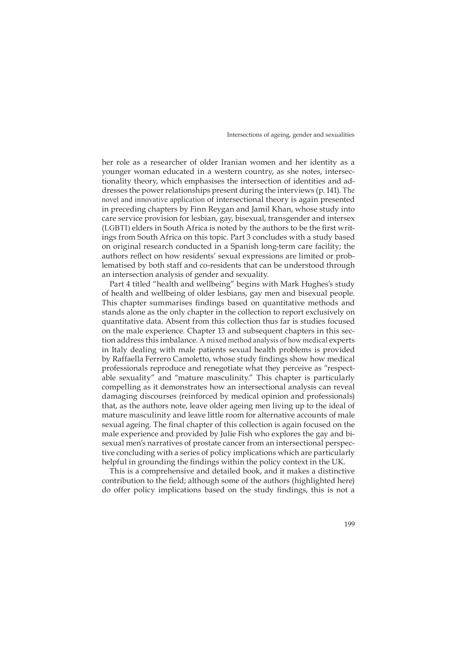Intersections of ageing, gender and sexualities

her role as a researcher of older Iranian women and her identity as a younger woman educated in a western country, as she notes, intersectionality theory, which emphasises the intersection of identities and addresses the power relationships present during the interviews (p. 141). The novel and innovative application of intersectional theory is again presented in preceding chapters by Finn Reygan and Jamil Khan, whose study into care service provision for lesbian, gay, bisexual, transgender and intersex (LGBTI) elders in South Africa is noted by the authors to be the first writings from South Africa on this topic. Part 3 concludes with a study based on original research conducted in a Spanish long-term care facility; the authors reflect on how residents' sexual expressions are limited or problematised by both staff and co-residents that can be understood through an intersection analysis of gender and sexuality.

Part 4 titled "health and wellbeing" begins with Mark Hughes's study of health and wellbeing of older lesbians, gay men and bisexual people. This chapter summarises findings based on quantitative methods and stands alone as the only chapter in the collection to report exclusively on quantitative data. Absent from this collection thus far is studies focused on the male experience. Chapter 13 and subsequent chapters in this section address this imbalance. A mixed method analysis of how medical experts in Italy dealing with male patients sexual health problems is provided by Raffaella Ferrero Camoletto, whose study findings show how medical professionals reproduce and renegotiate what they perceive as "respectable sexuality" and "mature masculinity." This chapter is particularly compelling as it demonstrates how an intersectional analysis can reveal damaging discourses (reinforced by medical opinion and professionals) that, as the authors note, leave older ageing men living up to the ideal of mature masculinity and leave little room for alternative accounts of male sexual ageing. The final chapter of this collection is again focused on the male experience and provided by Julie Fish who explores the gay and bisexual men's narratives of prostate cancer from an intersectional perspective concluding with a series of policy implications which are particularly helpful in grounding the findings within the policy context in the UK.

This is a comprehensive and detailed book, and it makes a distinctive contribution to the field; although some of the authors (highlighted here) do offer policy implications based on the study findings, this is not a